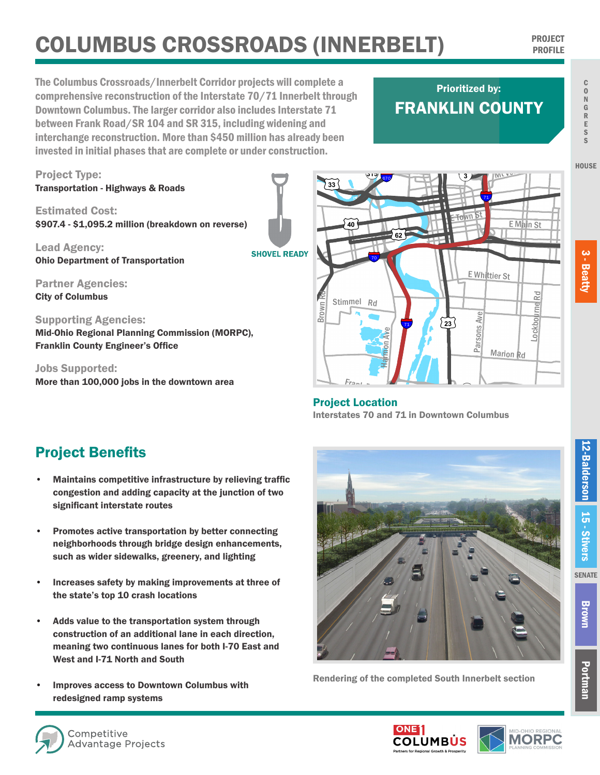## **COLUMBUS CROSSROADS (INNERBELT)** PROJECT PROFILE

The Columbus Crossroads/Innerbelt Corridor projects will complete a comprehensive reconstruction of the Interstate 70/71 Innerbelt through **Downtown Columbus. The larger corridor also includes Interstate 71 <b>FRANKLIN C** between Frank Road/SR 104 and SR 315, including widening and interchange reconstruction. More than \$450 million has already been invested in initial phases that are complete or under construction. The interstate 70/71 downtown congestion pro

## FRANKLIN COUNTY Prioritized by:

¬«**104**



Project Location access to the Near East Side and South Side neighborhoods, as well as direct access to Nationwide Children's Hospital emergency room. Frank Rd

Interstates 70 and 71 in Downtown Columbus **Improvement of the state's Top 10 Crash Locations:** I-70 over SP 315, I-70, I-70, I-70, I-70, I-70, I-70, I-70, I-70, I-70, I-70, I-70, I-70, I-70, I-70, I-70, I-70, I-70, I-70, I-70, I-70, I-70, I-70, I-70, I-70, I-70, I

## Project Benefits

• Maintains competitive infrastructure by relieving traffic congestion and adding capacity at the junction of two significant interstate routes

More than 100,000 jobs in the downtown area

- Promotes active transportation by better connecting neighborhoods through bridge design enhancements, such as wider sidewalks, greenery, and lighting
- Increases safety by making improvements at three of the state's top 10 crash locations
- Adds value to the transportation system through construction of an additional lane in each direction, meaning two continuous lanes for both I-70 East and West and I-71 North and South
- Improves access to Downtown Columbus with redesigned ramp systems **Slow down or move over for roadside workers. It's the law.**



Rendering of the completed South Innerbelt section

**HOUSE**